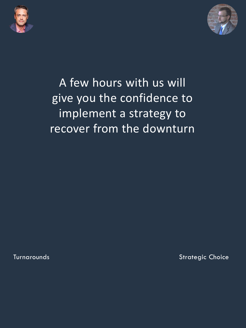



# A few hours with us will give you the confidence to implement a strategy to recover from the downturn

**Turnarounds Strategic Choice**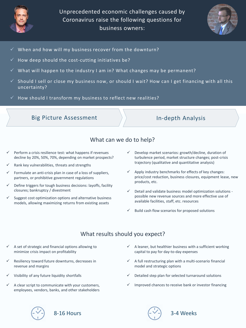

Unprecedented economic challenges caused by Coronavirus raise the following questions for business owners:



- $\checkmark$  When and how will my business recover from the downturn?
- How deep should the cost-cutting initiatives be?
- What will happen to the industry I am in? What changes may be permanent?
- Should I sell or close my business now, or should I wait? How can I get financing with all this uncertainty?
- How should I transform my business to reflect new realities?

#### Big Picture Assessment  $\longrightarrow$  In-depth Analysis

## What can we do to help?

- Perform a crisis resilience test: what happens if revenues decline by 20%, 50%, 70%, depending on market prospects?
- Rank key vulnerabilities, threats and strengths
- Formulate an anti-crisis plan in case of a loss of suppliers, partners, or prohibitive government regulations
- Define triggers for tough business decisions: layoffs, facility closures; bankruptcy / divestment
- $\checkmark$  Suggest cost optimization options and alternative business models, allowing maximizing returns from existing assets
- $\checkmark$  Develop market scenarios: growth/decline, duration of turbulence period, market structure changes; post-crisis trajectory (qualitative and quantitative analysis)
- $\checkmark$  Apply industry benchmarks for effects of key changes: price/cost reduction, business closures, equipment lease, new products, etc.
- $\checkmark$  Detail and validate business model optimization solutions possible new revenue sources and more effective use of available facilities, staff, etc. resources
- Build cash flow scenarios for proposed solutions

## What results should you expect?

- $\checkmark$  A set of strategic and financial options allowing to minimize crisis impact on profitability
- Resiliency toward future downturns, decreases in revenue and margins
- ✓ Visibility of any future liquidity shortfalls
- A clear script to communicate with your customers, employees, vendors, banks, and other stakeholders
- A leaner, but healthier business with a sufficient working capital to pay for day-to-day expenses
- A full restructuring plan with a multi-scenario financial model and strategic options
- Detailed step plan for selected turnaround solutions
- Improved chances to receive bank or investor financing